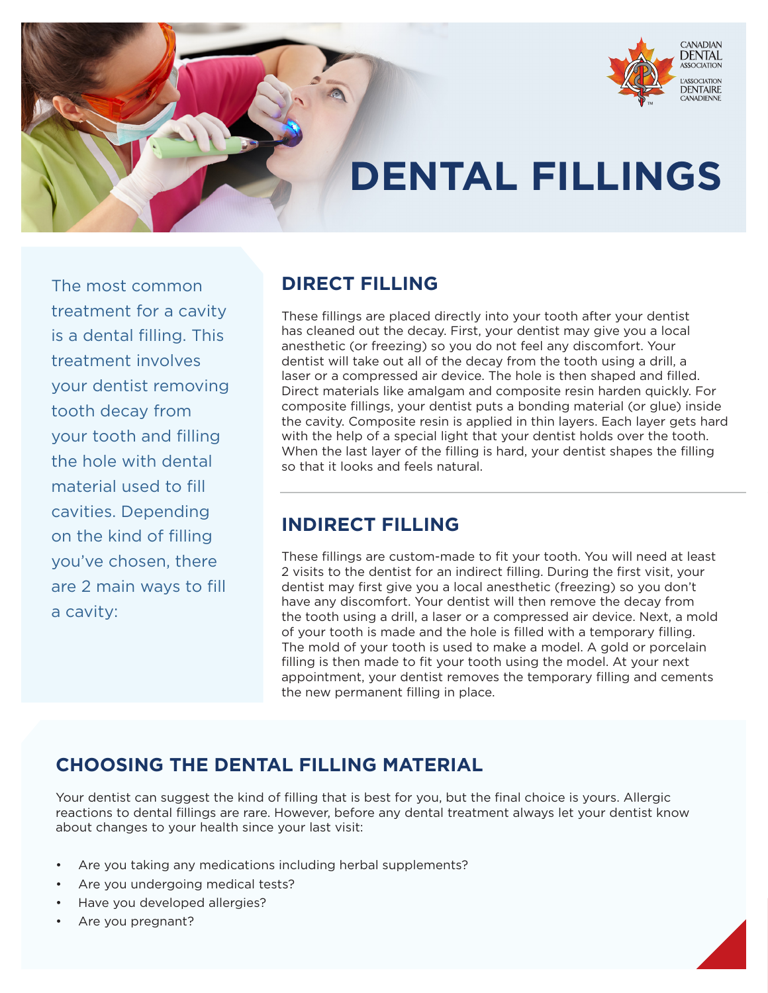

# **DENTAL FILLINGS**

The most common treatment for a cavity is a dental filling. This treatment involves your dentist removing tooth decay from your tooth and filling the hole with dental material used to fill cavities. Depending on the kind of filling you've chosen, there are 2 main ways to fill a cavity:

## **DIRECT FILLING**

These fillings are placed directly into your tooth after your dentist has cleaned out the decay. First, your dentist may give you a local anesthetic (or freezing) so you do not feel any discomfort. Your dentist will take out all of the decay from the tooth using a drill, a laser or a compressed air device. The hole is then shaped and filled. Direct materials like amalgam and composite resin harden quickly. For composite fillings, your dentist puts a bonding material (or glue) inside the cavity. Composite resin is applied in thin layers. Each layer gets hard with the help of a special light that your dentist holds over the tooth. When the last layer of the filling is hard, your dentist shapes the filling so that it looks and feels natural.

### **INDIRECT FILLING**

These fillings are custom-made to fit your tooth. You will need at least 2 visits to the dentist for an indirect filling. During the first visit, your dentist may first give you a local anesthetic (freezing) so you don't have any discomfort. Your dentist will then remove the decay from the tooth using a drill, a laser or a compressed air device. Next, a mold of your tooth is made and the hole is filled with a temporary filling. The mold of your tooth is used to make a model. A gold or porcelain filling is then made to fit your tooth using the model. At your next appointment, your dentist removes the temporary filling and cements the new permanent filling in place.

## **CHOOSING THE DENTAL FILLING MATERIAL**

Your dentist can suggest the kind of filling that is best for you, but the final choice is yours. Allergic reactions to dental fillings are rare. However, before any dental treatment always let your dentist know about changes to your health since your last visit:

- Are you taking any medications including herbal supplements?
- Are you undergoing medical tests?
- Have you developed allergies?
- Are you pregnant?